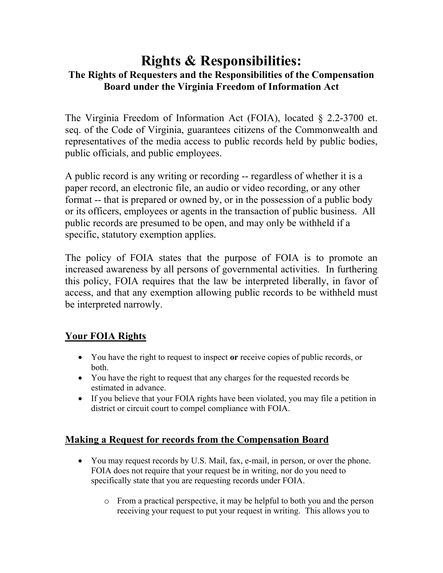# **Rights & Responsibilities: The Rights of Requesters and the Responsibilities of the Compensation Board under the Virginia Freedom of Information Act**

The Virginia Freedom of Information Act (FOIA), located § 2.2-3700 et. seq. of the Code of Virginia, guarantees citizens of the Commonwealth and representatives of the media access to public records held by public bodies, public officials, and public employees.

A public record is any writing or recording -- regardless of whether it is a paper record, an electronic file, an audio or video recording, or any other format -- that is prepared or owned by, or in the possession of a public body or its officers, employees or agents in the transaction of public business. All public records are presumed to be open, and may only be withheld if a specific, statutory exemption applies.

The policy of FOIA states that the purpose of FOIA is to promote an increased awareness by all persons of governmental activities. In furthering this policy, FOIA requires that the law be interpreted liberally, in favor of access, and that any exemption allowing public records to be withheld must be interpreted narrowly.

## **Your FOIA Rights**

- You have the right to request to inspect **or** receive copies of public records, or both.
- You have the right to request that any charges for the requested records be estimated in advance.
- If you believe that your FOIA rights have been violated, you may file a petition in district or circuit court to compel compliance with FOIA.

## **Making a Request for records from the Compensation Board**

- You may request records by U.S. Mail, fax, e-mail, in person, or over the phone. FOIA does not require that your request be in writing, nor do you need to specifically state that you are requesting records under FOIA.
	- o From a practical perspective, it may be helpful to both you and the person receiving your request to put your request in writing. This allows you to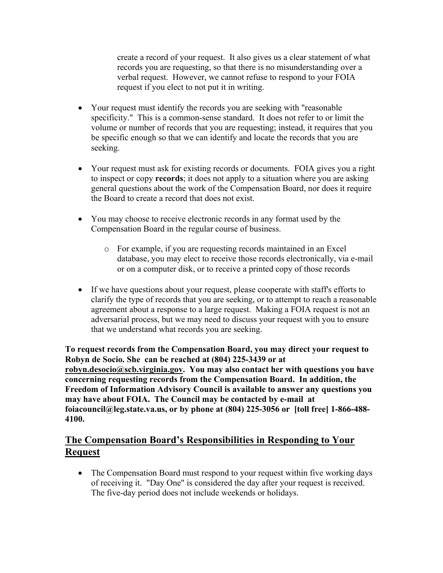create a record of your request. It also gives us a clear statement of what records you are requesting, so that there is no misunderstanding over a verbal request. However, we cannot refuse to respond to your FOIA request if you elect to not put it in writing.

- Your request must identify the records you are seeking with "reasonable" specificity." This is a common-sense standard. It does not refer to or limit the volume or number of records that you are requesting; instead, it requires that you be specific enough so that we can identify and locate the records that you are seeking.
- Your request must ask for existing records or documents. FOIA gives you a right to inspect or copy **records**; it does not apply to a situation where you are asking general questions about the work of the Compensation Board, nor does it require the Board to create a record that does not exist.
- You may choose to receive electronic records in any format used by the Compensation Board in the regular course of business.
	- o For example, if you are requesting records maintained in an Excel database, you may elect to receive those records electronically, via e-mail or on a computer disk, or to receive a printed copy of those records
- If we have questions about your request, please cooperate with staff's efforts to clarify the type of records that you are seeking, or to attempt to reach a reasonable agreement about a response to a large request. Making a FOIA request is not an adversarial process, but we may need to discuss your request with you to ensure that we understand what records you are seeking.

**To request records from the Compensation Board, you may direct your request to Robyn de Socio. She can be reached at (804) 225-3439 or at robyn.desocio@scb.virginia.gov. You may also contact her with questions you have concerning requesting records from the Compensation Board. In addition, the Freedom of Information Advisory Council is available to answer any questions you may have about FOIA. The Council may be contacted by e-mail at foiacouncil@leg.state.va.us, or by phone at (804) 225-3056 or [toll free] 1-866-488- 4100.** 

### **The Compensation Board's Responsibilities in Responding to Your Request**

• The Compensation Board must respond to your request within five working days of receiving it. "Day One" is considered the day after your request is received. The five-day period does not include weekends or holidays.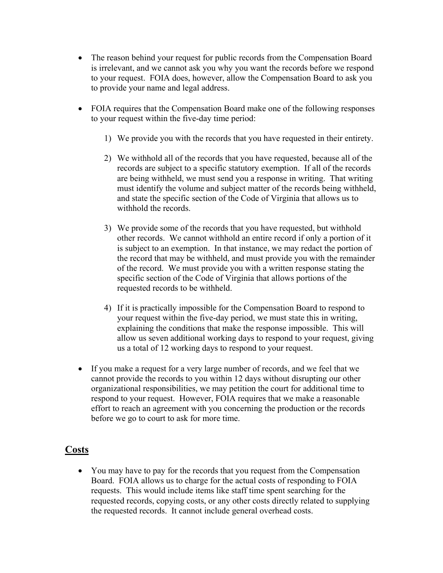- The reason behind your request for public records from the Compensation Board is irrelevant, and we cannot ask you why you want the records before we respond to your request. FOIA does, however, allow the Compensation Board to ask you to provide your name and legal address.
- FOIA requires that the Compensation Board make one of the following responses to your request within the five-day time period:
	- 1) We provide you with the records that you have requested in their entirety.
	- 2) We withhold all of the records that you have requested, because all of the records are subject to a specific statutory exemption. If all of the records are being withheld, we must send you a response in writing. That writing must identify the volume and subject matter of the records being withheld, and state the specific section of the Code of Virginia that allows us to withhold the records.
	- 3) We provide some of the records that you have requested, but withhold other records. We cannot withhold an entire record if only a portion of it is subject to an exemption. In that instance, we may redact the portion of the record that may be withheld, and must provide you with the remainder of the record. We must provide you with a written response stating the specific section of the Code of Virginia that allows portions of the requested records to be withheld.
	- 4) If it is practically impossible for the Compensation Board to respond to your request within the five-day period, we must state this in writing, explaining the conditions that make the response impossible. This will allow us seven additional working days to respond to your request, giving us a total of 12 working days to respond to your request.
- If you make a request for a very large number of records, and we feel that we cannot provide the records to you within 12 days without disrupting our other organizational responsibilities, we may petition the court for additional time to respond to your request. However, FOIA requires that we make a reasonable effort to reach an agreement with you concerning the production or the records before we go to court to ask for more time.

#### **Costs**

• You may have to pay for the records that you request from the Compensation Board. FOIA allows us to charge for the actual costs of responding to FOIA requests. This would include items like staff time spent searching for the requested records, copying costs, or any other costs directly related to supplying the requested records. It cannot include general overhead costs.